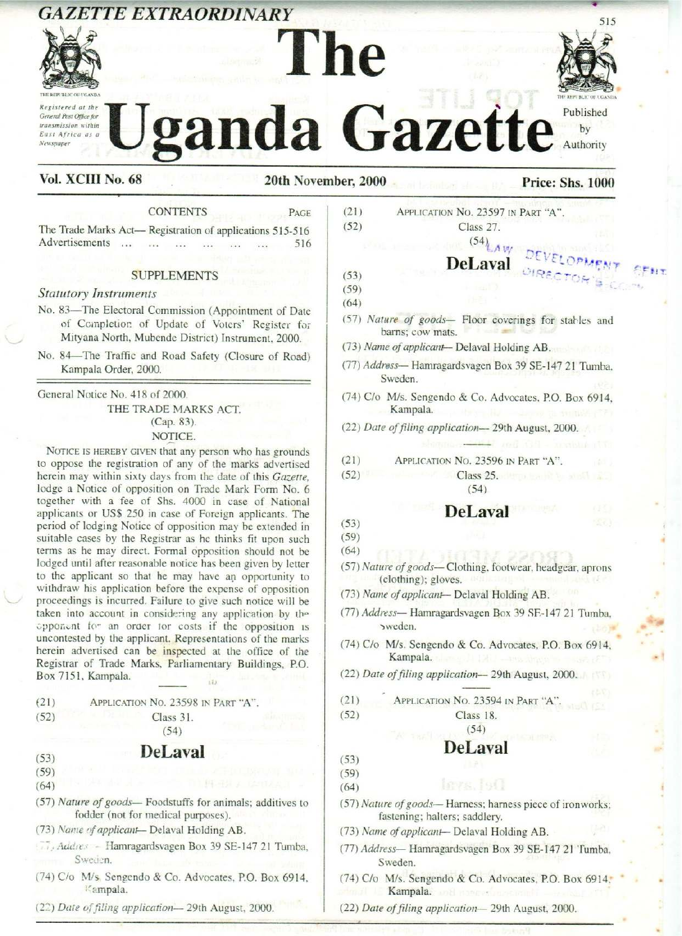# <u> 1999 - De Barbara de Americano de Santo Antonio de Santo de Santo de Santo de Santo de Santo de Santo de San</u> **GAZETTE EXTRAORDINARY**





# anda Gazette Authority THE REPUBLIC OF UGANDA GAZETTE EXTRAORDINARY<br>Le Liganda Gazette Published **CAZETTE EXTRAORDINARY**<br> **CONSTRAINER SERVICE DESCRIPTION OF AZETTE PROBATION CONSTRAINER PROPERTY DEPARTMENT PROBATION DEPRESS AND PRICE:** Shs. 1000 **GAZETTE EXTRAORDINARY**<br> **EXERCULT IN A SUPPLIFE SEXTRAORDINARY**<br> **EXERCULT AND CONTENTS**<br> **EXERCULT NO. 68**<br> **CONTENTS**<br> **CONTENTS**<br> **CONTENTS**<br> **CONTENTS**<br> **CONTENTS**<br> **CONTENTS**<br> **CONTENTS**<br> **CONTENTS**<br> **CONTENTS**<br> **CON GAZETTE EXTRAORDINARY**<br> **EXERCULT AND SECRET AND RESERVANCE AND TRIVIAL CONTENTS**<br> **EXERCULT NO. 68**<br> **CONTENTS**<br> **CONTENTS**<br> **CONTENTS**<br> **CONTENTS**<br> **CONTENTS**<br> **CONTENTS**<br> **CONTENTS**<br> **CONTENTS**<br> **CONTENTS**<br> **CONTENTS**<br>

# Vol. XCIII No. 68 20th November, 2000 Price: Shs. 1000

CONTENTS PAGE The Trade Marks Act— Registration of applications 515-516 Advertisements ... 0... over 516

### **SUPPLEMENTS**

### Statutory Instruments

- No. 83—The Electoral Commission (Appointment of Date of Completion of Update of Voters' Register tor Mityana North, Mubende District) Instrument, 2000.
- No. 84—The Traffic and Road Safety (Closure of Road) Kampala Order, 2000.

General Notice No. 418 of 2000.

THE TRADE MARKS ACT. (Cap. 83). NOTICE.

NOTICE IS HEREBY GIVEN that any person who has grounds to oppose the registration of any of the marks advertised herein may within sixty days from the date of this Gazette, lodge a Notice of opposition on Trade Mark Form No. 6 together with a fee of Shs. 4000 in case of National applicants or US\$ 250 in case of Foreign applicants. The period of lodging Notice of opposition maybe extended in suitable cases by the Registrar as he thinks fit upon such terms as he may direct. Formal opposition should not be lodged until after reasonable notice has been given by letter to the applicant so that he may have an opportunity to withdraw his application before the expense of opposition proceedings is incurred. Failure to give such notice will be taken into account in considering any application by the opponent fom an order tor costs if the opposition 1s uncontested by the applicant. Representations of the marks<br>herein advertised can be inspected at the office of the<br>Registrar of Trade Marks, Parliamentary Buildings, P.O.<br>Box 7151, Kampala. herein advertised can be inspected at the office of the Registrar of Trade Marks, Parliamentary Buildings, P.O. Box 7151, Kampala. **CALETTE EXTRAORDINARY**<br>
VALUE IN EVALUATION CONTENTS<br>
VALUE AND CONTENTS (SEE AND CONTENTS IN THE CALE AND CONTENTS IN THE CALE AND CONTENTS (SEE AND A CONTENTS IN THE PASS OF THE CALE AND CONTENTS IN THE CALE AND CONTEN

| (21) | APPLICATION No. 23598 IN PART "A". |  |
|------|------------------------------------|--|
| (52) | Class 31.                          |  |
|      | (54)                               |  |

# (53) DeLaval

- (59)
- (64)

(57) Nature of goods— Foodstuffs for animals; additives to fodder (not for medical purposes).

(73) Nanie of applicant- Delaval Holding AB.

- ), Addres Hamragardsvagen Box 39 SE-147 21 Tumba, Sweden.
- $\frac{1}{2}$ (74) Clo M/s. Sengendo & Co. Advocates, P.O. Box 6914, Kampala.
	- (22) Date of filing application-29th August, 2000.

(21) APPLICATION No. 23597 IN PART "A". (52) Class 27.<br>  $\frac{(54)_{AA}}{y}$ 

- $DeLaval$ <sup>(53)</sup>
	-
- (59) (64)
- (57) Nature of goods— Floor coverings for statles and barns; cow mats.
- (73) Name of applicant- Delaval Holding AB.
- (77) Address— Hamragardsvagen Box 39 SE-147 21 Tumba, Sweden.
- $rac{1}{2}$  Co.<br>tion-(74) C/o M/s. Sengendo & Co. Advocates, P.O. Box 6914, Kampala.
- (22) Date of filing application-29th August, 2000.
	-
- (21) APPLICATION No, 23596 IN PART "A".
- (52) Class 25. (54)

### DeLaval

- (53)  $(59)$
- (64)
- (57) Nature of goods— Clothing, footwear, headgear, aprons (clothing); gloves.
- (73) Name of applicant- Delaval Holding AB.
- (77) Address— Hamragardsvagen Box 39 SF-147 <sup>21</sup> Tumba, 2 sweden, . -
- (74) C/o M/s. Sengendo & Co. Advocates, P.O. Box 6914.<br>Kampala.<br>(22) Date of filing application—29th August, 2000. Kampala.
- (22) Date of filing application-29th August, 2000.
- (21) ; APPLICATION No. 23594 IN Part "A".

(52) Class 18. (54)

### DeLaval

- (53) (59)
- (64)
- (57) Nature of goods— Harness; harness piece of ironworks; fastening; halters; saddlery.
- (73) Name of applicant-- Delaval Holding AB.
- $-721$  Tumba,<br>0. Box 6914; (77) Address— Hamragardsvagen Box 39 SE-147 21 'Tumba, Sweden.
- $(74)$  C/o M/s. Sengendo & Co. Advocates, P.O. Box 6914. Kampala.
- (22) Date of filing application-29th August, 2000.